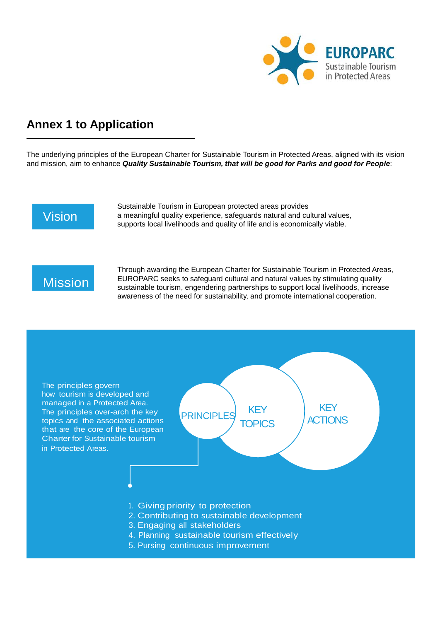

## **Annex 1 to Application**

The underlying principles of the European Charter for Sustainable Tourism in Protected Areas, aligned with its vision and mission, aim to enhance *Quality Sustainable Tourism, that will be good for Parks and good for People*:

## Vision

Sustainable Tourism in European protected areas provides a meaningful quality experience, safeguards natural and cultural values, supports local livelihoods and quality of life and is economically viable.

## **Mission**

Through awarding the European Charter for Sustainable Tourism in Protected Areas, EUROPARC seeks to safeguard cultural and natural values by stimulating quality sustainable tourism, engendering partnerships to support local livelihoods, increase awareness of the need for sustainability, and promote international cooperation.

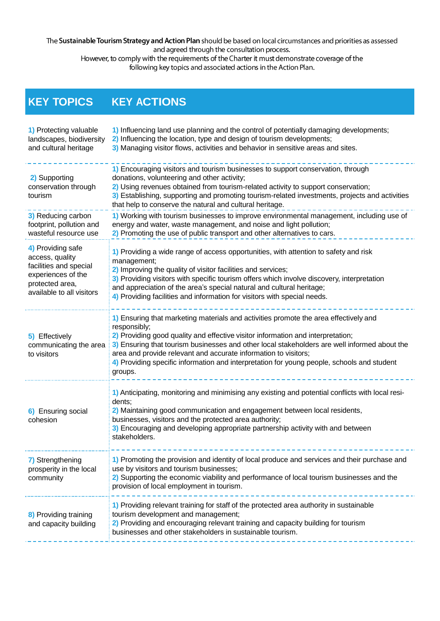The Sustainable Tourism Strategy and Action Plan should be based on local circumstances and priorities as assessed and agreed through the consultation process.

However, to comply with the requirements of the Charter it must demonstrate coverage of the following key topics and associated actions in the Action Plan.

## **KEY TOPICS KEY ACTIONS**

| 1) Protecting valuable<br>landscapes, biodiversity<br>and cultural heritage                                                          | 1) Influencing land use planning and the control of potentially damaging developments;<br>2) Influencing the location, type and design of tourism developments;<br>3) Managing visitor flows, activities and behavior in sensitive areas and sites.                                                                                                                                                                                                                 |
|--------------------------------------------------------------------------------------------------------------------------------------|---------------------------------------------------------------------------------------------------------------------------------------------------------------------------------------------------------------------------------------------------------------------------------------------------------------------------------------------------------------------------------------------------------------------------------------------------------------------|
| 2) Supporting<br>conservation through<br>tourism                                                                                     | 1) Encouraging visitors and tourism businesses to support conservation, through<br>donations, volunteering and other activity;<br>2) Using revenues obtained from tourism-related activity to support conservation;<br>3) Establishing, supporting and promoting tourism-related investments, projects and activities<br>that help to conserve the natural and cultural heritage.                                                                                   |
| 3) Reducing carbon<br>footprint, pollution and<br>wasteful resource use                                                              | 1) Working with tourism businesses to improve environmental management, including use of<br>energy and water, waste management, and noise and light pollution;<br>2) Promoting the use of public transport and other alternatives to cars.                                                                                                                                                                                                                          |
| 4) Providing safe<br>access, quality<br>facilities and special<br>experiences of the<br>protected area,<br>available to all visitors | 1) Providing a wide range of access opportunities, with attention to safety and risk<br>management;<br>2) Improving the quality of visitor facilities and services;<br>3) Providing visitors with specific tourism offers which involve discovery, interpretation<br>and appreciation of the area's special natural and cultural heritage;<br>4) Providing facilities and information for visitors with special needs.                                              |
| 5) Effectively<br>communicating the area<br>to visitors                                                                              | 1) Ensuring that marketing materials and activities promote the area effectively and<br>responsibly;<br>2) Providing good quality and effective visitor information and interpretation;<br>3) Ensuring that tourism businesses and other local stakeholders are well informed about the<br>area and provide relevant and accurate information to visitors;<br>4) Providing specific information and interpretation for young people, schools and student<br>groups. |
| 6) Ensuring social<br>cohesion                                                                                                       | 1) Anticipating, monitoring and minimising any existing and potential conflicts with local resi-<br>dents;<br>2) Maintaining good communication and engagement between local residents,<br>businesses, visitors and the protected area authority;<br>3) Encouraging and developing appropriate partnership activity with and between<br>stakeholders.                                                                                                               |
| 7) Strengthening<br>prosperity in the local<br>community                                                                             | 1) Promoting the provision and identity of local produce and services and their purchase and<br>use by visitors and tourism businesses;<br>2) Supporting the economic viability and performance of local tourism businesses and the<br>provision of local employment in tourism.                                                                                                                                                                                    |
| 8) Providing training<br>and capacity building                                                                                       | 1) Providing relevant training for staff of the protected area authority in sustainable<br>tourism development and management;<br>2) Providing and encouraging relevant training and capacity building for tourism<br>businesses and other stakeholders in sustainable tourism.                                                                                                                                                                                     |